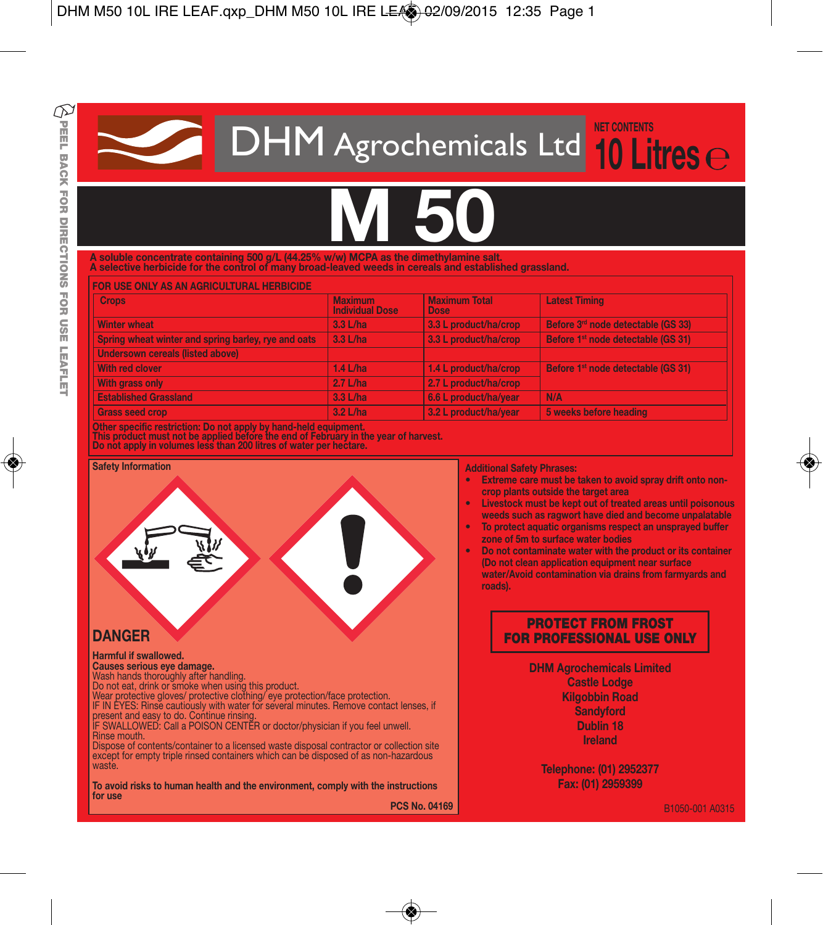**DHM** Agrochemicals Ltd 10 Li **10 Litres**

# **M 50**

**A soluble concentrate containing 500 g/L (44.25% w/w) MCPA as the dimethylamine salt.**

**A selective herbicide for the control of many broad-leaved weeds in cereals and established grassland.**

| <b>FOR USE ONLY AS AN AGRICULTURAL HERBICIDE</b>    |                                          |                                     |                                                |
|-----------------------------------------------------|------------------------------------------|-------------------------------------|------------------------------------------------|
| <b>Crops</b>                                        | <b>Maximum</b><br><b>Individual Dose</b> | <b>Maximum Total</b><br><b>Dose</b> | <b>Latest Timing</b>                           |
| <b>Winter wheat</b>                                 | $3.3$ L/ha                               | 3.3 L product/ha/crop               | Before 3rd node detectable (GS 33)             |
| Spring wheat winter and spring barley, rye and oats | $3.3$ L/ha                               | 3.3 L product/ha/crop               | Before 1 <sup>st</sup> node detectable (GS 31) |
| <b>Undersown cereals (listed above)</b>             |                                          |                                     |                                                |
| With red clover                                     | $1.4$ L/ha                               | 1.4 L product/ha/crop               | Before 1 <sup>st</sup> node detectable (GS 31) |
| <b>With grass only</b>                              | $2.7$ L/ha                               | 2.7 L product/ha/crop               |                                                |
| <b>Established Grassland</b>                        | 3.3 L/ha                                 | 6.6 L product/ha/year               | N/A                                            |
| <b>Grass seed crop</b>                              | 3.2 L/ha                                 | 3.2 L product/ha/vear               | 5 weeks before heading                         |

Other specific restriction: Do not apply by hand-held equipment.<br>This product must not be applied before the end of February in the year of harvest.<br>Do not apply in volumes less than 200 litres of water per hectare.

# **Safety Information Harmful if swallowed. Causes serious eye damage.** Wash hands thoroughly after handling. Do not eat, drink or smoke when using this product. **DANGER**

Wear protective gloves/ protective clothing/ eye protection/face protection.<br>IF IN EYES: Rinse cautiously with water for several minutes. Remove contact lenses, if present and easy to do. Continue rinsing.<br>IF SWALLOWED: Call a POISON CENTER or doctor/physician if you feel unwell.

Rinse mouth. Dispose of contents/container to a licensed waste disposal contractor or collection site

except for empty triple rinsed containers which can be disposed of as non-hazardous waste.

**To avoid risks to human health and the environment, comply with the instructions for use PCS No. 04169** **Additional Safety Phrases:**

- **• Extreme care must be taken to avoid spray drift onto noncrop plants outside the target area**
- **• Livestock must be kept out of treated areas until poisonous weeds such as ragwort have died and become unpalatable**
- **• To protect aquatic organisms respect an unsprayed buffer zone of 5m to surface water bodies**
- **• Do not contaminate water with the product or its container (Do not clean application equipment near surface water/Avoid contamination via drains from farmyards and roads).**

# **PROTECT FROM FROST FOR PROFESSIONAL USE ONLY**

**DHM Agrochemicals Limited**

**Castle Lodge Kilgobbin Road Sandyford Dublin 18 Ireland**

**Telephone: (01) 2952377 Fax: (01) 2959399**

B1050-001 A0315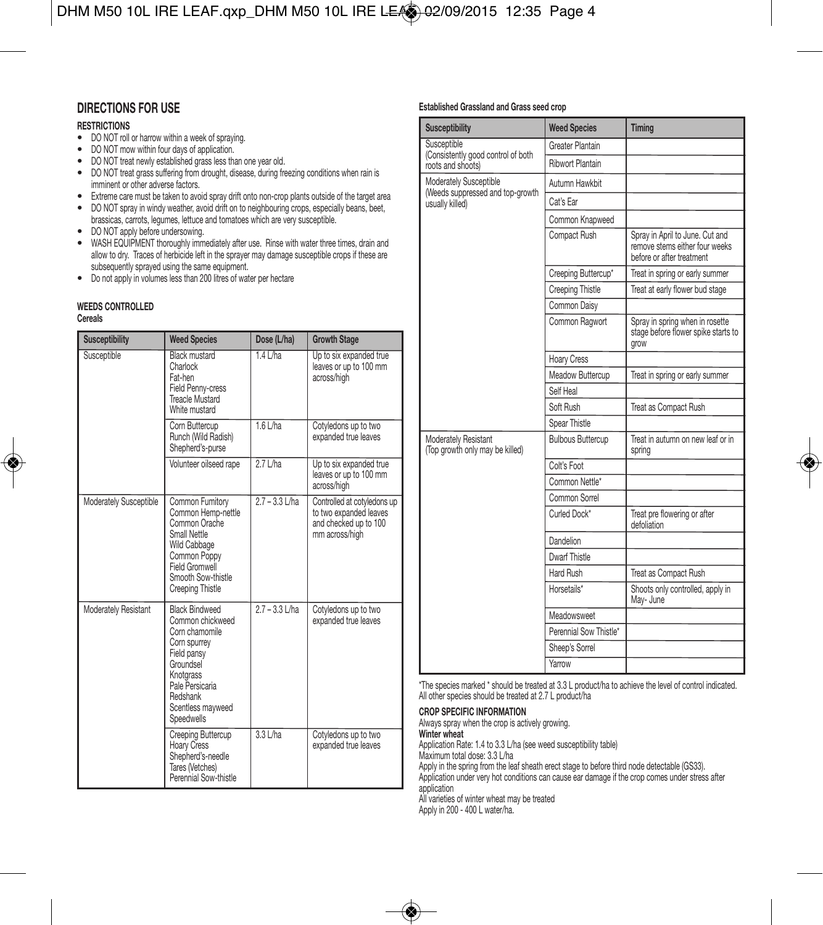# **DIRECTIONS FOR USE**

#### **RESTRICTIONS**

- DO NOT roll or harrow within <sup>a</sup> week of spraying.
- DO NOT mow within four days of application.
- DO NOT treat newly established grass less than one year old.
- DO NOT treat grass suffering from drought, disease, during freezing conditions when rain is imminent or other adverse factors.
- Extreme care must be taken to avoid spray drift onto non-crop plants outside of the target area
- DO NOT spray in windy weather, avoid drift on to neighbouring crops, especially beans, beet, brassicas, carrots, legumes, lettuce and tomatoes which are very susceptible.
- DO NOT apply before undersowing.
- WASH EQUIPMENT thoroughly immediately after use. Rinse with water three times, drain and allow to dry. Traces of herbicide left in the sprayer may damage susceptible crops if these are subsequently sprayed using the same equipment.
- Do not apply in volumes less than <sup>200</sup> litres of water per hectare

#### **WEEDS CONTROLLED**

#### **Cereals**

| <b>Susceptibility</b>  | <b>Weed Species</b>                                                                                                                                                                           | Dose (L/ha)      | <b>Growth Stage</b>                                                                              |
|------------------------|-----------------------------------------------------------------------------------------------------------------------------------------------------------------------------------------------|------------------|--------------------------------------------------------------------------------------------------|
| Susceptible            | Black mustard<br>Charlock<br>Fat-hen<br>Field Penny-cress<br>Treacle Mustard<br>White mustard                                                                                                 | $1.4$ L/ha       | Up to six expanded true<br>leaves or up to 100 mm<br>across/high                                 |
|                        | Corn Buttercup<br>Runch (Wild Radish)<br>Shepherd's-purse                                                                                                                                     | $1.6$ L/ha       | Cotyledons up to two<br>expanded true leaves                                                     |
|                        | Volunteer oilseed rape                                                                                                                                                                        | $2.7$ L/ha       | Up to six expanded true<br>leaves or up to 100 mm<br>across/high                                 |
| Moderately Susceptible | Common Fumitory<br>Common Hemp-nettle<br>Common Orache<br>Small Nettle<br>Wild Cabbage<br>Common Poppy<br>Field Gromwell<br>Smooth Sow-thistle<br>Creeping Thistle                            | $2.7 - 3.3$ L/ha | Controlled at cotyledons up<br>to two expanded leaves<br>and checked up to 100<br>mm across/high |
| Moderately Resistant   | <b>Black Bindweed</b><br>Common chickweed<br>Corn chamomile<br>Corn spurrey<br>Field pansy<br>Groundsel<br>Knotarass<br>Pale Persicaria<br>Redshank<br>Scentless mayweed<br><b>Speedwells</b> | $2.7 - 3.3$ L/ha | Cotyledons up to two<br>expanded true leaves                                                     |
|                        | Creeping Buttercup<br>Hoary Cress<br>Shepherd's-needle<br>Tares (Vetches)<br>Perennial Sow-thistle                                                                                            | $3.3$ L/ha       | Cotyledons up to two<br>expanded true leaves                                                     |

#### **Established Grassland and Grass seed crop**

| <b>Susceptibility</b>                                                         | <b>Weed Species</b>      | <b>Timing</b>                                                                                  |
|-------------------------------------------------------------------------------|--------------------------|------------------------------------------------------------------------------------------------|
| Susceptible                                                                   | Greater Plantain         |                                                                                                |
| (Consistently good control of both<br>roots and shoots)                       | Ribwort Plantain         |                                                                                                |
| Moderately Susceptible<br>(Weeds suppressed and top-growth<br>usually killed) | Autumn Hawkhit           |                                                                                                |
|                                                                               | Cat's Far                |                                                                                                |
|                                                                               | Common Knapweed          |                                                                                                |
|                                                                               | Compact Rush             | Spray in April to June. Cut and<br>remove stems either four weeks<br>before or after treatment |
|                                                                               | Creeping Buttercup*      | Treat in spring or early summer                                                                |
|                                                                               | <b>Creeping Thistle</b>  | Treat at early flower bud stage                                                                |
|                                                                               | Common Daisy             |                                                                                                |
|                                                                               | Common Ragwort           | Spray in spring when in rosette<br>stage before flower spike starts to<br>grow                 |
|                                                                               | Hoary Cress              |                                                                                                |
|                                                                               | Meadow Buttercup         | Treat in spring or early summer                                                                |
|                                                                               | Self Heal                |                                                                                                |
|                                                                               | Soft Rush                | Treat as Compact Rush                                                                          |
|                                                                               | Spear Thistle            |                                                                                                |
| Moderately Resistant<br>(Top growth only may be killed)                       | <b>Bulbous Buttercup</b> | Treat in autumn on new leaf or in<br>spring                                                    |
|                                                                               | Colt's Foot              |                                                                                                |
|                                                                               | Common Nettle*           |                                                                                                |
|                                                                               | Common Sorrel            |                                                                                                |
|                                                                               | Curled Dock*             | Treat pre flowering or after<br>defoliation                                                    |
|                                                                               | Dandelion                |                                                                                                |
|                                                                               | Dwarf Thistle            |                                                                                                |
|                                                                               | Hard Rush                | Treat as Compact Rush                                                                          |
|                                                                               | Horsetails*              | Shoots only controlled, apply in<br>May-June                                                   |
|                                                                               | Meadowsweet              |                                                                                                |
|                                                                               | Perennial Sow Thistle*   |                                                                                                |
|                                                                               | Sheep's Sorrel           |                                                                                                |
|                                                                               | Yarrow                   |                                                                                                |

\*The species marked \* should be treated at 3.3 L product/ha to achieve the level of control indicated. All other species should be treated at 2.7 L product/ha

#### **CROP SPECIFIC INFORMATION**

Always spray when the crop is actively growing. **Winter wheat** Application Rate: 1.4 to 3.3 L/ha (see weed susceptibility table)

Maximum total dose: 3.3 L/ha

Apply in the spring from the leaf sheath erect stage to before third node detectable (GS33).

Application under very hot conditions can cause ear damage if the crop comes under stress after application

All varieties of winter wheat may be treated

Apply in 200 - 400 L water/ha.

◈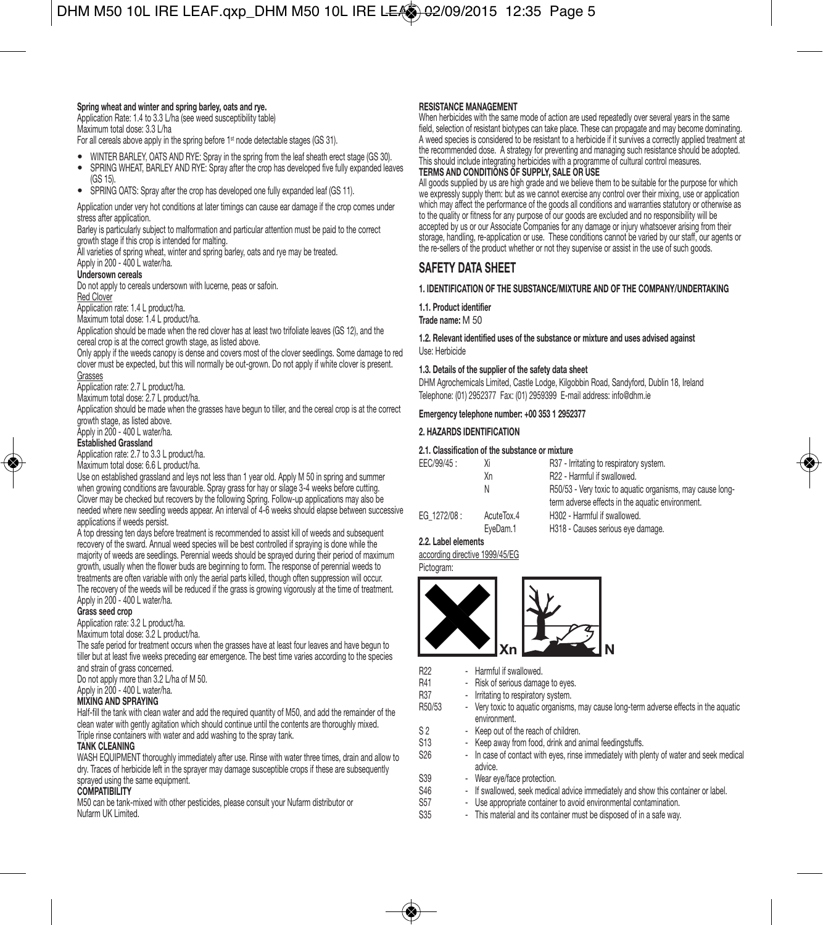#### **Spring wheat and winter and spring barley, oats and rye.**

Application Rate: 1.4 to 3.3 L/ha (see weed susceptibility table) Maximum total dose: 3.3 L/ha

For all cereals above apply in the spring before 1<sup>st</sup> node detectable stages (GS 31).

- WINTER BARLEY, OATS AND RYE: Spray in the spring from the leaf sheath erect stage (GS 30).
- SPRING WHEAT, BARLEY AND RYE: Spray after the crop has developed five fully expanded leaves (GS 15).
- SPRING OATS: Spray after the crop has developed one fully expanded leaf (GS 11).

Application under very hot conditions at later timings can cause ear damage if the crop comes under stress after application.

Barley is particularly subject to malformation and particular attention must be paid to the correct growth stage if this crop is intended for malting.

All varieties of spring wheat, winter and spring barley, oats and rye may be treated. Apply in 200 - 400 L water/ha.

**Undersown cereals**

Do not apply to cereals undersown with lucerne, peas or safoin. Red Clover

Application rate: 1.4 L product/ha.

Maximum total dose: 1.4 L product/ha.

Application should be made when the red clover has at least two trifoliate leaves (GS 12), and the cereal crop is at the correct growth stage, as listed above.

Only apply if the weeds canopy is dense and covers most of the clover seedlings. Some damage to red clover must be expected, but this will normally be out-grown. Do not apply if white clover is present.

#### Grasses

Application rate: 2.7 L product/ha.

Maximum total dose: 2.7 L product/ha.

Application should be made when the grasses have begun to tiller, and the cereal crop is at the correct growth stage, as listed above.

Apply in 200 - 400 L water/ha.

#### **Established Grassland**

Application rate: 2.7 to 3.3 L product/ha.

Maximum total dose: 6.6 L product/ha.

Use on established grassland and leys not less than 1 year old. Apply M 50 in spring and summer when growing conditions are favourable. Spray grass for hay or silage 3-4 weeks before cutting. Clover may be checked but recovers by the following Spring. Follow-up applications may also be needed where new seedling weeds appear. An interval of 4-6 weeks should elapse between successive applications if weeds persist.

A top dressing ten days before treatment is recommended to assist kill of weeds and subsequent recovery of the sward. Annual weed species will be best controlled if spraying is done while the majority of weeds are seedlings. Perennial weeds should be sprayed during their period of maximum growth, usually when the flower buds are beginning to form. The response of perennial weeds to treatments are often variable with only the aerial parts killed, though often suppression will occur. The recovery of the weeds will be reduced if the grass is growing vigorously at the time of treatment. Apply in 200 - 400 L water/ha.

#### **Grass seed crop**

Application rate: 3.2 L product/ha.

Maximum total dose: 3.2 L product/ha.

The safe period for treatment occurs when the grasses have at least four leaves and have begun to tiller but at least five weeks preceding ear emergence. The best time varies according to the species and strain of grass concerned.

Do not apply more than 3.2 L/ha of M 50. Apply in 200 - 400 L water/ha.

#### **MIXING AND SPRAYING**

Half-fill the tank with clean water and add the required quantity of M50, and add the remainder of the clean water with gently agitation which should continue until the contents are thoroughly mixed. Triple rinse containers with water and add washing to the spray tank.

#### **TANK CLEANING**

WASH EQUIPMENT thoroughly immediately after use. Rinse with water three times, drain and allow to dry. Traces of herbicide left in the sprayer may damage susceptible crops if these are subsequently sprayed using the same equipment.

#### **COMPATIBILITY**

M50 can be tank-mixed with other pesticides, please consult your Nufarm distributor or Nufarm UK Limited.

**RESISTANCE MANAGEMENT** When herbicides with the same mode of action are used repeatedly over several years in the same field, selection of resistant biotypes can take place. These can propagate and may become dominating. A weed species is considered to be resistant to a herbicide if it survives a correctly applied treatment at the recommended dose. A strategy for preventing and managing such resistance should be adopted. This should include integrating herbicides with a programme of cultural control measures. **TERMS AND CONDITIONS OF SUPPLY, SALE OR USE**

All goods supplied by us are high grade and we believe them to be suitable for the purpose for which we expressly supply them: but as we cannot exercise any control over their mixing, use or application which may affect the performance of the goods all conditions and warranties statutory or otherwise as to the quality or fitness for any purpose of our goods are excluded and no responsibility will be accepted by us or our Associate Companies for any damage or injury whatsoever arising from their storage, handling, re-application or use. These conditions cannot be varied by our staff, our agents or the re-sellers of the product whether or not they supervise or assist in the use of such goods.

# **SAFETY DATA SHEET**

#### **1. IDENTIFICATION OF THE SUBSTANCE/MIXTURE AND OF THE COMPANY/UNDERTAKING**

**1.1. Product identifier**

**Trade name:** M 50

#### **1.2. Relevant identified uses of the substance or mixture and uses advised against** Use: Herbicide

#### **1.3. Details of the supplier of the safety data sheet**

DHM Agrochemicals Limited, Castle Lodge, Kilgobbin Road, Sandyford, Dublin 18, Ireland Telephone: (01) 2952377 Fax: (01) 2959399 E-mail address: info@dhm.ie

#### **Emergency telephone number: +00 353 1 2952377**

#### **2. HAZARDS IDENTIFICATION**

#### **2.1. Classification of the substance or mixture**

| Χi         | R37 - Irritating to respiratory system.                   |
|------------|-----------------------------------------------------------|
| Хn         | R22 - Harmful if swallowed.                               |
| Ν          | R50/53 - Very toxic to aquatic organisms, may cause long- |
|            | term adverse effects in the aquatic environment.          |
| AcuteTox.4 | H302 - Harmful if swallowed.                              |
| EveDam.1   | H318 - Causes serious eye damage.                         |
|            |                                                           |

# **2.2. Label elements**

according directive 1999/45/EG Pictogram:



- R22 Harmful if swallowed.<br>R41 Risk of serious damar
	-
- R41 Risk of serious damage to eyes.<br>R37 Irritating to respiratory system. R37 - Irritating to respiratory system.<br>R50/53 - Very toxic to aquatic organisms
	- Very toxic to aquatic organisms, may cause long-term adverse effects in the aquatic environment.
- S 2 Keep out of the reach of children.
- S13 Keep away from food, drink and animal feedingstuffs.<br>S26 In case of contact with eves, rinse immediately with n
	- In case of contact with eyes, rinse immediately with plenty of water and seek medical advice.
- S39 Wear eye/face protection.<br>S46 If ewallowed seek medics
- S46 If swallowed, seek medical advice immediately and show this container or label.<br>S57 Use appropriate container to avoid environmental contamination.
	- Use appropriate container to avoid environmental contamination.
- S35 This material and its container must be disposed of in a safe way.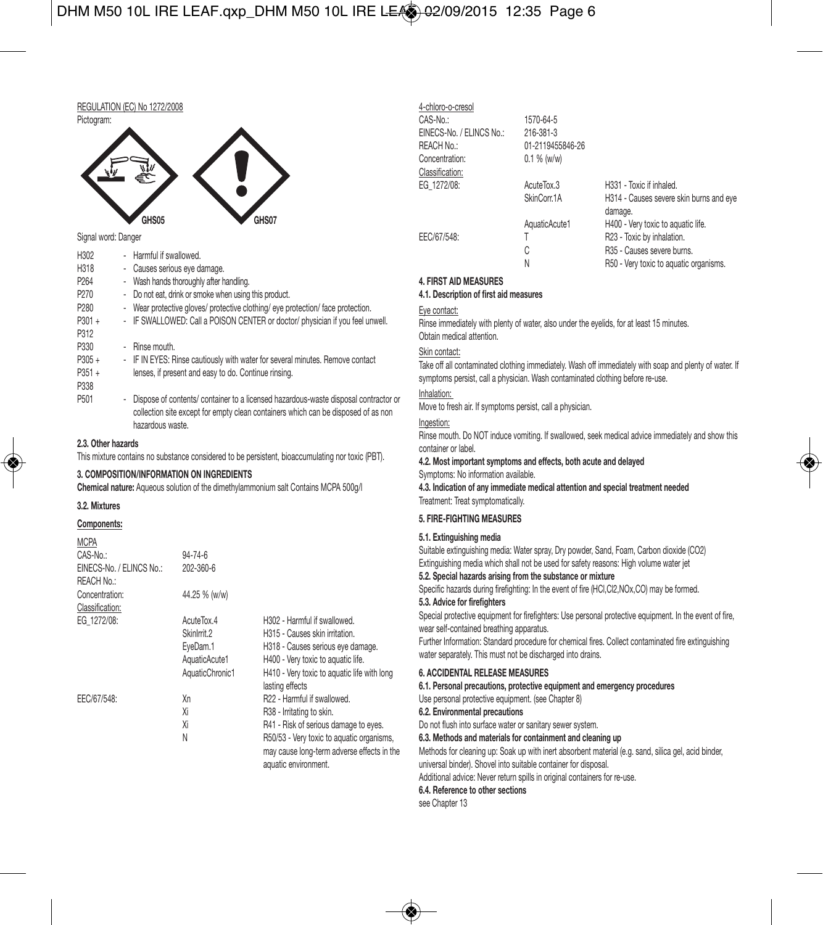# DHM M50 10L IRE LEAF.qxp\_DHM M50 10L IRE LEA 02/09/2015 12:35 Page 6



#### Signal word: Danger

| - Harmful if swallowed.                                                                                                                                                                        |
|------------------------------------------------------------------------------------------------------------------------------------------------------------------------------------------------|
| - Causes serious eye damage.                                                                                                                                                                   |
| - Wash hands thoroughly after handling.                                                                                                                                                        |
| - Do not eat, drink or smoke when using this product.                                                                                                                                          |
| - Wear protective gloves/ protective clothing/ eye protection/ face protection.                                                                                                                |
| - IF SWALLOWED: Call a POISON CENTER or doctor/ physician if you feel unwell.                                                                                                                  |
|                                                                                                                                                                                                |
| - Rinse mouth.                                                                                                                                                                                 |
| - IF IN EYES: Rinse cautiously with water for several minutes. Remove contact                                                                                                                  |
| lenses, if present and easy to do. Continue rinsing.                                                                                                                                           |
|                                                                                                                                                                                                |
| - Dispose of contents/ container to a licensed hazardous-waste disposal contractor or<br>collection site except for empty clean containers which can be disposed of as non<br>hazardous waste. |
|                                                                                                                                                                                                |

#### **2.3. Other hazards**

This mixture contains no substance considered to be persistent, bioaccumulating nor toxic (PBT).

#### **3. COMPOSITION/INFORMATION ON INGREDIENTS**

**Chemical nature:** Aqueous solution of the dimethylammonium salt Contains MCPA 500g/l

#### **3.2. Mixtures**

#### **Components:**

| MCPA                     |                 |                                             |
|--------------------------|-----------------|---------------------------------------------|
| CAS-No.:                 | $94 - 74 - 6$   |                                             |
| EINECS-No. / ELINCS No.: | 202-360-6       |                                             |
| REACH No.:               |                 |                                             |
| Concentration:           | 44.25 % (w/w)   |                                             |
| Classification:          |                 |                                             |
| EG 1272/08:              | AcuteTox.4      | H302 - Harmful if swallowed.                |
|                          | Skinlmit.2      | H315 - Causes skin irritation.              |
|                          | EveDam.1        | H318 - Causes serious eye damage.           |
|                          | AquaticAcute1   | H400 - Very toxic to aquatic life.          |
|                          | AquaticChronic1 | H410 - Very toxic to aquatic life with long |
|                          |                 | lasting effects                             |
| EEC/67/548:              | Xn              | R22 - Harmful if swallowed.                 |
|                          | Χi              | R38 - Irritating to skin.                   |
|                          | Xi              | R41 - Risk of serious damage to eyes.       |
|                          | N               | R50/53 - Very toxic to aquatic organisms,   |
|                          |                 | may cause long-term adverse effects in the  |
|                          |                 | aguatic environment                         |

| <b>TUILLE V VIVUU</b>    |                  |                                                    |
|--------------------------|------------------|----------------------------------------------------|
| CAS-No.:                 | 1570-64-5        |                                                    |
| EINECS-No. / ELINCS No.: | 216-381-3        |                                                    |
| REACH No.:               | 01-2119455846-26 |                                                    |
| Concentration:           | 0.1 % (w/w)      |                                                    |
| Classification:          |                  |                                                    |
| EG 1272/08:              | AcuteTox.3       | H331 - Toxic if inhaled.                           |
|                          | SkinCorr.1A      | H314 - Causes severe skin burns and eye<br>damage. |
|                          | AquaticAcute1    | H400 - Very toxic to aquatic life.                 |
| EEC/67/548:              |                  | R23 - Toxic by inhalation.                         |
|                          | C                | R35 - Causes severe burns.                         |
|                          | N                | R50 - Very toxic to aquatic organisms.             |
|                          |                  |                                                    |

#### **4. FIRST AID MEASURES**

4-chloro-o-cresol

#### **4.1. Description of first aid measures**

#### Eye contact:

Rinse immediately with plenty of water, also under the eyelids, for at least 15 minutes. Obtain medical attention.

#### Skin contact:

Take off all contaminated clothing immediately. Wash off immediately with soap and plenty of water. If symptoms persist, call a physician. Wash contaminated clothing before re-use.

#### Inhalation:

Move to fresh air. If symptoms persist, call a physician.

#### Ingestion:

Rinse mouth. Do NOT induce vomiting. If swallowed, seek medical advice immediately and show this container or label.

#### **4.2. Most important symptoms and effects, both acute and delayed**

Symptoms: No information available.

**4.3. Indication of any immediate medical attention and special treatment needed** Treatment: Treat symptomatically.

#### **5. FIRE-FIGHTING MEASURES**

#### **5.1. Extinguishing media**

Suitable extinguishing media: Water spray, Dry powder, Sand, Foam, Carbon dioxide (CO2) Extinguishing media which shall not be used for safety reasons: High volume water jet

#### **5.2. Special hazards arising from the substance or mixture**

Specific hazards during firefighting: In the event of fire (HCl,Cl2,NOx,CO) may be formed. **5.3. Advice for firefighters**

Special protective equipment for firefighters: Use personal protective equipment. In the event of fire, wear self-contained breathing apparatus.

Further Information: Standard procedure for chemical fires. Collect contaminated fire extinguishing water separately. This must not be discharged into drains.

#### **6. ACCIDENTAL RELEASE MEASURES**

**6.1. Personal precautions, protective equipment and emergency procedures** Use personal protective equipment. (see Chapter 8)

#### **6.2. Environmental precautions**

Do not flush into surface water or sanitary sewer system.

#### **6.3. Methods and materials for containment and cleaning up**

Methods for cleaning up: Soak up with inert absorbent material (e.g. sand, silica gel, acid binder, universal binder). Shovel into suitable container for disposal.

Additional advice: Never return spills in original containers for re-use.

## **6.4. Reference to other sections**

see Chapter 13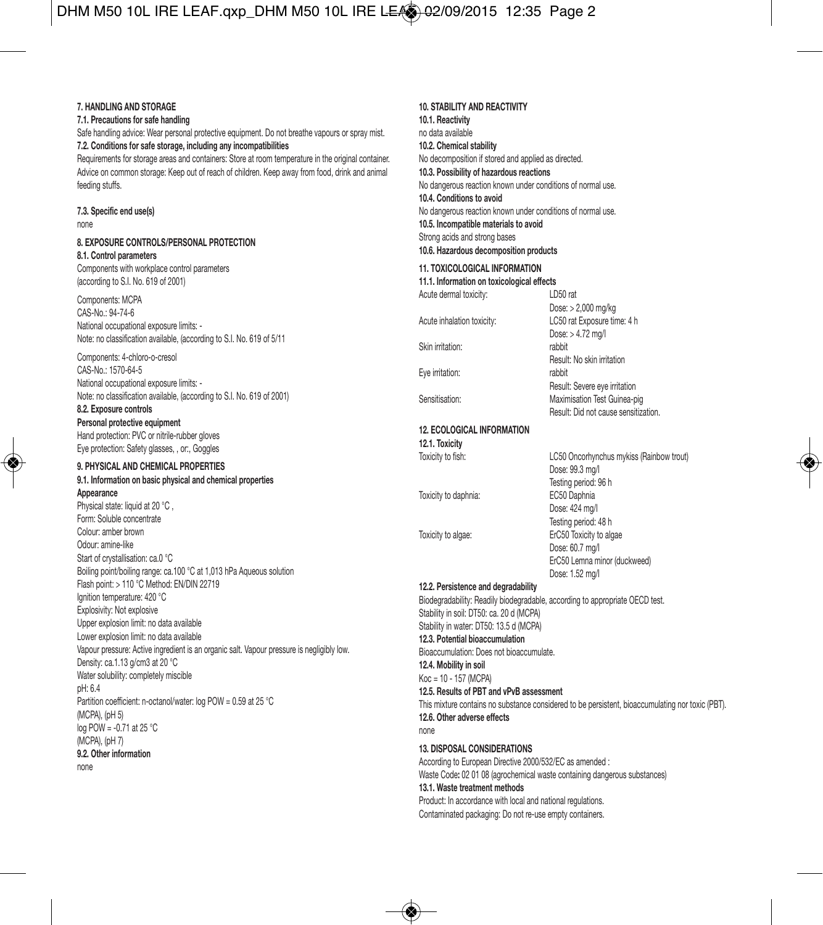# DHM M50 10L IRE LEAF.qxp\_DHM M50 10L IRE LEAO-02/09/2015 12:35 Page 2

#### **7. HANDLING AND STORAGE**

**7.1. Precautions for safe handling**

Safe handling advice: Wear personal protective equipment. Do not breathe vapours or spray mist. **7.2. Conditions for safe storage, including any incompatibilities**

Requirements for storage areas and containers: Store at room temperature in the original container. Advice on common storage: Keep out of reach of children. Keep away from food, drink and animal feeding stuffs.

# **7.3. Specific end use(s)**

none

# **8. EXPOSURE CONTROLS/PERSONAL PROTECTION**

**8.1. Control parameters** Components with workplace control parameters (according to S.I. No. 619 of 2001)

#### Components: MCPA CAS-No.: 94-74-6 National occupational exposure limits: - Note: no classification available, (according to S.I. No. 619 of 5/11

Components: 4-chloro-o-cresol CAS-No.: 1570-64-5 National occupational exposure limits: - Note: no classification available, (according to S.I. No. 619 of 2001)

**8.2. Exposure controls Personal protective equipment** Hand protection: PVC or nitrile-rubber gloves Eye protection: Safety glasses, , or:, Goggles

#### **9. PHYSICAL AND CHEMICAL PROPERTIES 9.1. Information on basic physical and chemical properties**

**Appearance** Physical state: liquid at 20 °C. Form: Soluble concentrate Colour: amber brown Odour: amine-like Start of crystallisation: ca.0 °C Boiling point/boiling range: ca.100 °C at 1,013 hPa Aqueous solution Flash point: > 110 °C Method: EN/DIN 22719 Ignition temperature: 420 °C Explosivity: Not explosive Upper explosion limit: no data available Lower explosion limit: no data available Vapour pressure: Active ingredient is an organic salt. Vapour pressure is negligibly low. Density: ca.1.13 g/cm3 at 20 °C Water solubility: completely miscible pH: 6.4 Partition coefficient: n-octanol/water: log POW = 0.59 at 25 °C (MCPA), (pH 5) log POW = -0.71 at 25 °C (MCPA), (pH 7) **9.2. Other information** none

#### **10. STABILITY AND REACTIVITY 10.1. Reactivity** no data available **10.2. Chemical stability** No decomposition if stored and applied as directed. **10.3. Possibility of hazardous reactions** No dangerous reaction known under conditions of normal use. **10.4. Conditions to avoid** No dangerous reaction known under conditions of normal use. **10.5. Incompatible materials to avoid** Strong acids and strong bases **10.6. Hazardous decomposition products 11. TOXICOLOGICAL INFORMATION 11.1. Information on toxicological effects**

Acute dermal toxicity: LD50 rat Skin irritation: Eye irritation: rabbit

Dose: > 2,000 mg/kg Acute inhalation toxicity: LC50 rat Exposure time: 4 h Dose: > 4.72 mg/l Result: No skin irritation Result: Severe eye irritation Sensitisation: Maximisation Test Guinea-pig Result: Did not cause sensitization.

# **12. ECOLOGICAL INFORMATION**

**12.1. Toxicity**

Toxicity to daphnia: EC50 Daphnia

Toxicity to fish: LC50 Oncorhynchus mykiss (Rainbow trout) Dose: 99.3 mg/l Testing period: 96 h Dose: 424 ma/l Testing period: 48 h Toxicity to algae: ErC50 Toxicity to algae Dose: 60.7 mg/l ErC50 Lemna minor (duckweed) Dose: 1.52 mg/l

#### **12.2. Persistence and degradability**

Biodegradability: Readily biodegradable, according to appropriate OECD test. Stability in soil: DT50: ca. 20 d (MCPA) Stability in water: DT50: 13.5 d (MCPA) **12.3. Potential bioaccumulation** Bioaccumulation: Does not bioaccumulate. **12.4. Mobility in soil** Koc = 10 - 157 (MCPA) **12.5. Results of PBT and vPvB assessment** This mixture contains no substance considered to be persistent, bioaccumulating nor toxic (PBT).

**12.6. Other adverse effects** none **13. DISPOSAL CONSIDERATIONS**

According to European Directive 2000/532/EC as amended : Waste Code**:** 02 01 08 (agrochemical waste containing dangerous substances) **13.1. Waste treatment methods** Product: In accordance with local and national regulations. Contaminated packaging: Do not re-use empty containers.